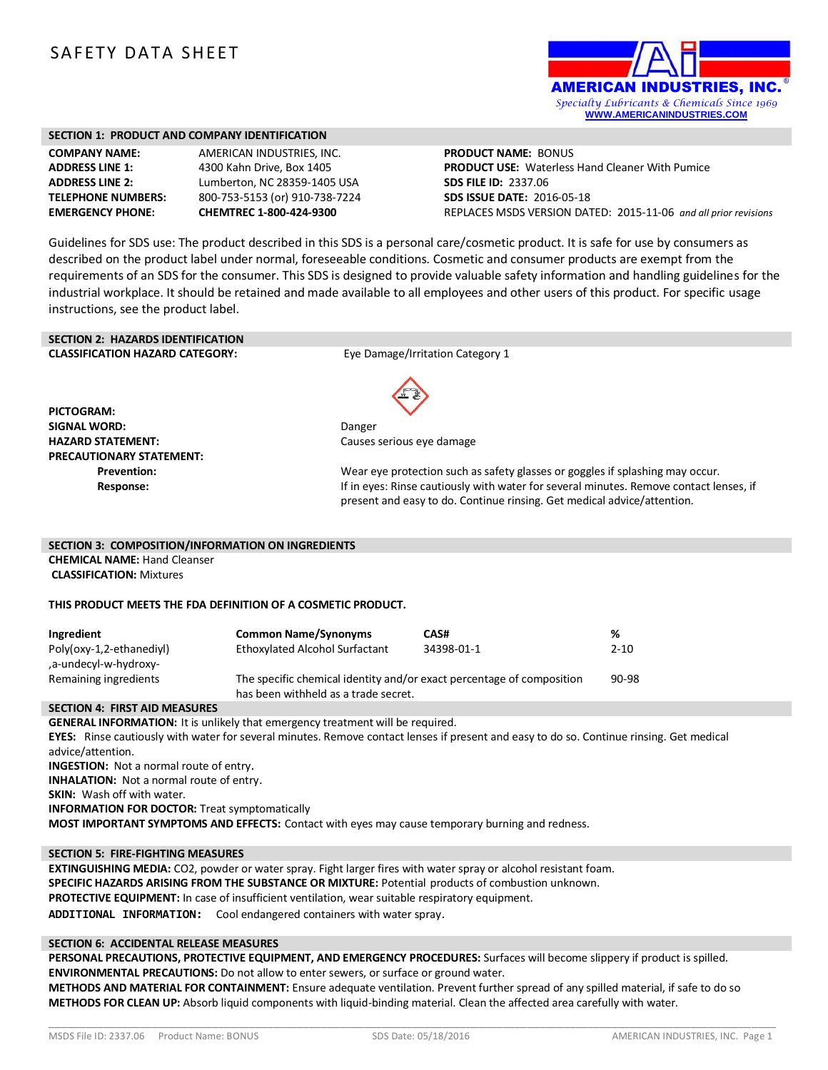# SAFETY DATA SHEET



#### **SECTION 1: PRODUCT AND COMPANY IDENTIFICATION**

| <b>COMPANY NAME:</b>     |
|--------------------------|
| <b>ADDRESS LINE 1:</b>   |
| <b>ADDRESS LINE 2:</b>   |
| <b>TELEPHONE NUMBERS</b> |
| <b>EMERGENCY PHONE:</b>  |

**AMERICAN INDUSTRIES, INC. ADDRESS LINE 1:** 4300 Kahn Drive, Box 1405 **ADDRESS LINE 2:** Lumberton, NC 28359-1405 USA **TELEPHONE NUMBERS:** 800-753-5153 (or) 910-738-7224 **EMERGENCY PHONE: CHEMTREC 1-800-424-9300**

**PRODUCT NAME:** BONUS **PRODUCT USE:** Waterless Hand Cleaner With Pumice **SDS FILE ID:** 2337.06 **SDS ISSUE DATE:** 2016-05-18 REPLACES MSDS VERSION DATED: 2015-11-06 *and all prior revisions*

Guidelines for SDS use: The product described in this SDS is a personal care/cosmetic product. It is safe for use by consumers as described on the product label under normal, foreseeable conditions. Cosmetic and consumer products are exempt from the requirements of an SDS for the consumer. This SDS is designed to provide valuable safety information and handling guidelines for the industrial workplace. It should be retained and made available to all employees and other users of this product. For specific usage instructions, see the product label.

# **SECTION 2: HAZARDS IDENTIFICATION**

**CLASSIFICATION HAZARD CATEGORY:** Eye Damage/Irritation Category 1

**PICTOGRAM: SIGNAL WORD:** Danger **HAZARD STATEMENT:** Causes serious eye damage **PRECAUTIONARY STATEMENT:**



**Prevention:** Wear eye protection such as safety glasses or goggles if splashing may occur. **Response:** The sponse of the eyes: Rinse cautiously with water for several minutes. Remove contact lenses, if present and easy to do. Continue rinsing. Get medical advice/attention.

#### **SECTION 3: COMPOSITION/INFORMATION ON INGREDIENTS**

**CHEMICAL NAME:** Hand Cleanser **CLASSIFICATION:** Mixtures

#### **THIS PRODUCT MEETS THE FDA DEFINITION OF A COSMETIC PRODUCT.**

| Ingredient                                        | <b>Common Name/Synonyms</b>                                                                                   | CAS#       | %        |
|---------------------------------------------------|---------------------------------------------------------------------------------------------------------------|------------|----------|
| Poly(oxy-1,2-ethanediyl)<br>-a-undecyl-w-hydroxy, | Ethoxylated Alcohol Surfactant                                                                                | 34398-01-1 | $2 - 10$ |
| Remaining ingredients                             | The specific chemical identity and/or exact percentage of composition<br>has been withheld as a trade secret. |            | 90-98    |

#### **SECTION 4: FIRST AID MEASURES**

**GENERAL INFORMATION:** It is unlikely that emergency treatment will be required. **EYES:** Rinse cautiously with water for several minutes. Remove contact lenses if present and easy to do so. Continue rinsing. Get medical advice/attention. **INGESTION:** Not a normal route of entry. **INHALATION:** Not a normal route of entry. **SKIN:** Wash off with water. **INFORMATION FOR DOCTOR:** Treat symptomatically **MOST IMPORTANT SYMPTOMS AND EFFECTS:** Contact with eyes may cause temporary burning and redness.

#### **SECTION 5: FIRE-FIGHTING MEASURES**

**EXTINGUISHING MEDIA:** CO2, powder or water spray. Fight larger fires with water spray or alcohol resistant foam. **SPECIFIC HAZARDS ARISING FROM THE SUBSTANCE OR MIXTURE:** Potential products of combustion unknown. **PROTECTIVE EQUIPMENT:** In case of insufficient ventilation, wear suitable respiratory equipment. **ADDITIONAL INFORMATION:** Cool endangered containers with water spray.

#### **SECTION 6: ACCIDENTAL RELEASE MEASURES**

**PERSONAL PRECAUTIONS, PROTECTIVE EQUIPMENT, AND EMERGENCY PROCEDURES:** Surfaces will become slippery if product is spilled. **ENVIRONMENTAL PRECAUTIONS:** Do not allow to enter sewers, or surface or ground water.

**METHODS AND MATERIAL FOR CONTAINMENT:** Ensure adequate ventilation. Prevent further spread of any spilled material, if safe to do so **METHODS FOR CLEAN UP:** Absorb liquid components with liquid-binding material. Clean the affected area carefully with water.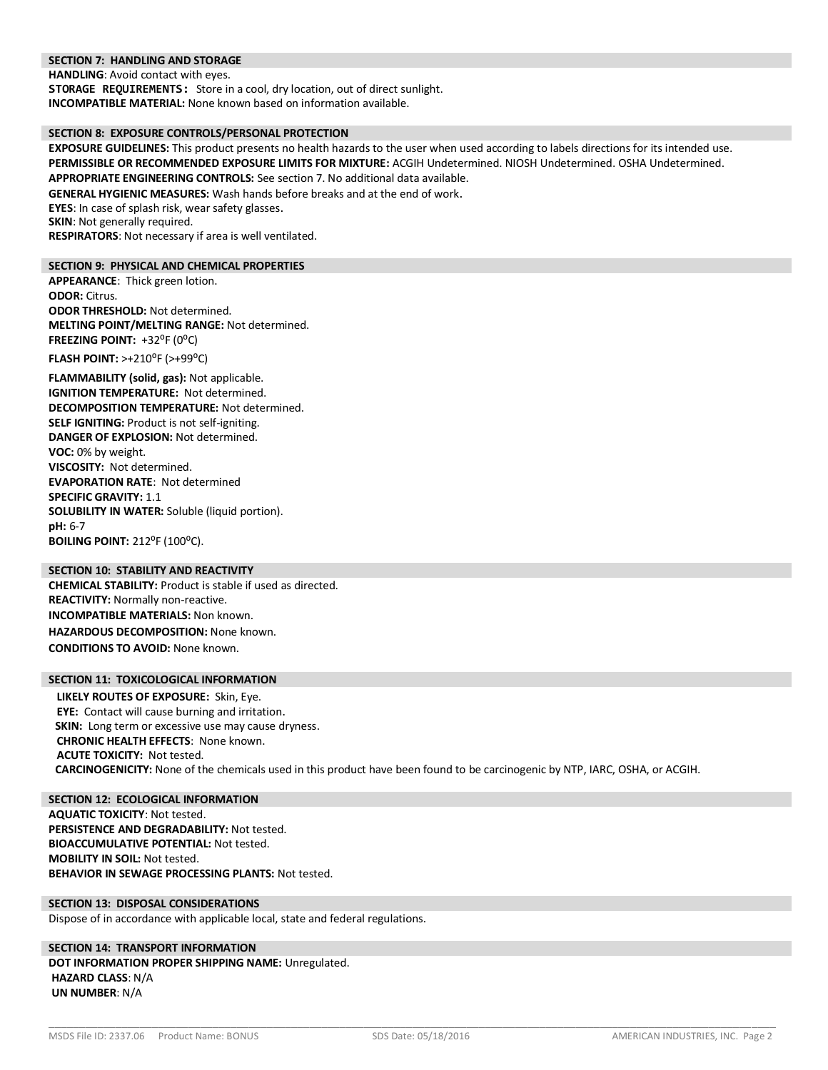#### **SECTION 7: HANDLING AND STORAGE**

**HANDLING**: Avoid contact with eyes.

**STORAGE REQUIREMENTS:** Store in a cool, dry location, out of direct sunlight. **INCOMPATIBLE MATERIAL:** None known based on information available.

# **SECTION 8: EXPOSURE CONTROLS/PERSONAL PROTECTION**

**EXPOSURE GUIDELINES:** This product presents no health hazards to the user when used according to labels directions for its intended use. **PERMISSIBLE OR RECOMMENDED EXPOSURE LIMITS FOR MIXTURE:** ACGIH Undetermined. NIOSH Undetermined. OSHA Undetermined. **APPROPRIATE ENGINEERING CONTROLS:** See section 7. No additional data available.

**GENERAL HYGIENIC MEASURES:** Wash hands before breaks and at the end of work.

**EYES**: In case of splash risk, wear safety glasses.

**SKIN:** Not generally required.

**RESPIRATORS**: Not necessary if area is well ventilated.

#### **SECTION 9: PHYSICAL AND CHEMICAL PROPERTIES**

**APPEARANCE**: Thick green lotion. **ODOR:** Citrus. **ODOR THRESHOLD:** Not determined. **MELTING POINT/MELTING RANGE:** Not determined. FREEZING POINT: +32<sup>o</sup>F (0<sup>o</sup>C)

**FLASH POINT: >+210<sup>°</sup>F (>+99<sup>°</sup>C)** 

**FLAMMABILITY (solid, gas):** Not applicable. **IGNITION TEMPERATURE:** Not determined. **DECOMPOSITION TEMPERATURE:** Not determined. **SELF IGNITING:** Product is not self-igniting. **DANGER OF EXPLOSION:** Not determined. **VOC:** 0% by weight. **VISCOSITY:** Not determined. **EVAPORATION RATE**: Not determined **SPECIFIC GRAVITY:** 1.1 **SOLUBILITY IN WATER:** Soluble (liquid portion). **pH:** 6-7 **BOILING POINT: 212°F (100°C).** 

# **SECTION 10: STABILITY AND REACTIVITY**

**CHEMICAL STABILITY:** Product is stable if used as directed. **REACTIVITY:** Normally non-reactive. **INCOMPATIBLE MATERIALS:** Non known. **HAZARDOUS DECOMPOSITION:** None known. **CONDITIONS TO AVOID:** None known.

# **SECTION 11: TOXICOLOGICAL INFORMATION**

**LIKELY ROUTES OF EXPOSURE:** Skin, Eye. **EYE:** Contact will cause burning and irritation. **SKIN:** Long term or excessive use may cause dryness. **CHRONIC HEALTH EFFECTS**: None known. **ACUTE TOXICITY:** Not tested. **CARCINOGENICITY:** None of the chemicals used in this product have been found to be carcinogenic by NTP, IARC, OSHA, or ACGIH.

**SECTION 12: ECOLOGICAL INFORMATION AQUATIC TOXICITY**: Not tested. **PERSISTENCE AND DEGRADABILITY:** Not tested. **BIOACCUMULATIVE POTENTIAL:** Not tested. **MOBILITY IN SOIL:** Not tested. **BEHAVIOR IN SEWAGE PROCESSING PLANTS:** Not tested.

# **SECTION 13: DISPOSAL CONSIDERATIONS**

Dispose of in accordance with applicable local, state and federal regulations.

# **SECTION 14: TRANSPORT INFORMATION DOT INFORMATION PROPER SHIPPING NAME:** Unregulated. **HAZARD CLASS**: N/A **UN NUMBER**: N/A